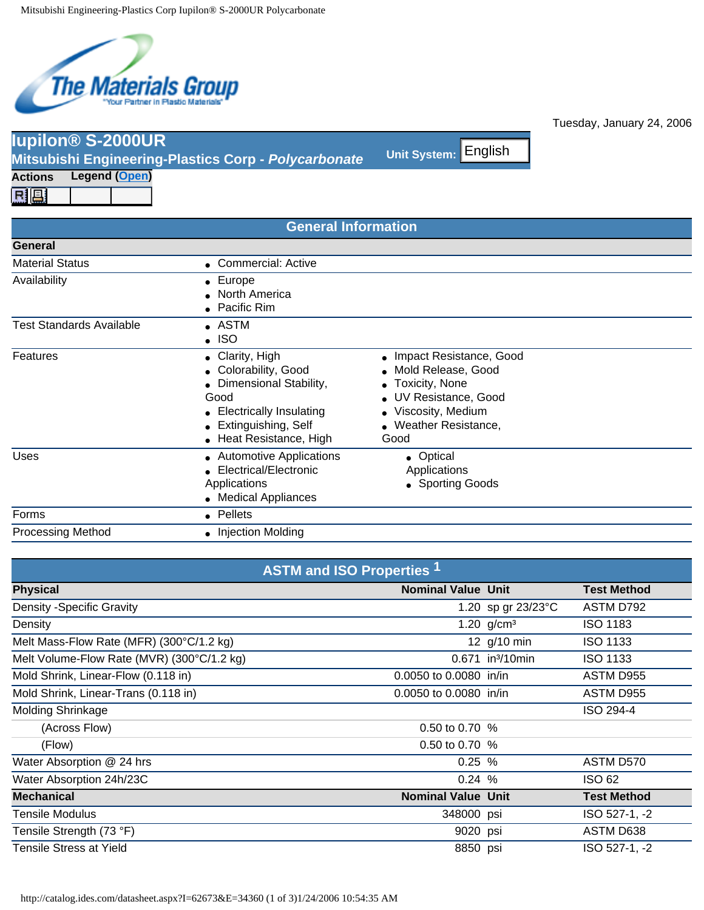

**Iupilon® S-2000UR**

**Mitsubishi Engineering-Plastics Corp - Unit System:** *Polycarbonate*

| <b>General Information</b>      |                                                                                                                                                              |                                                                                                                                                        |  |  |
|---------------------------------|--------------------------------------------------------------------------------------------------------------------------------------------------------------|--------------------------------------------------------------------------------------------------------------------------------------------------------|--|--|
| General                         |                                                                                                                                                              |                                                                                                                                                        |  |  |
| <b>Material Status</b>          | • Commercial: Active                                                                                                                                         |                                                                                                                                                        |  |  |
| Availability                    | $\bullet$ Europe<br>• North America<br>• Pacific Rim                                                                                                         |                                                                                                                                                        |  |  |
| <b>Test Standards Available</b> | $\bullet$ astm<br>$\bullet$ ISO                                                                                                                              |                                                                                                                                                        |  |  |
| Features                        | • Clarity, High<br>• Colorability, Good<br>• Dimensional Stability,<br>Good<br>• Electrically Insulating<br>• Extinguishing, Self<br>• Heat Resistance, High | • Impact Resistance, Good<br>• Mold Release, Good<br>• Toxicity, None<br>• UV Resistance, Good<br>• Viscosity, Medium<br>• Weather Resistance,<br>Good |  |  |
| Uses                            | • Automotive Applications<br>• Electrical/Electronic<br>Applications<br>• Medical Appliances                                                                 | • Optical<br>Applications<br>• Sporting Goods                                                                                                          |  |  |
| Forms                           | • Pellets                                                                                                                                                    |                                                                                                                                                        |  |  |

| <b>Actions</b>                                                                                                                                        | <b>Legend (Open)</b>                       |                                                                                                                                                                   |                                                                                                                                                    |                    |                                     |
|-------------------------------------------------------------------------------------------------------------------------------------------------------|--------------------------------------------|-------------------------------------------------------------------------------------------------------------------------------------------------------------------|----------------------------------------------------------------------------------------------------------------------------------------------------|--------------------|-------------------------------------|
| 鳳鳳                                                                                                                                                    |                                            |                                                                                                                                                                   |                                                                                                                                                    |                    |                                     |
|                                                                                                                                                       |                                            | <b>General Information</b>                                                                                                                                        |                                                                                                                                                    |                    |                                     |
| <b>General</b>                                                                                                                                        |                                            |                                                                                                                                                                   |                                                                                                                                                    |                    |                                     |
| <b>Material Status</b>                                                                                                                                |                                            | • Commercial: Active                                                                                                                                              |                                                                                                                                                    |                    |                                     |
| Availability                                                                                                                                          |                                            | • Europe<br>North America<br>• Pacific Rim                                                                                                                        |                                                                                                                                                    |                    |                                     |
| <b>Test Standards Available</b>                                                                                                                       |                                            | • ASTM<br><b>ISO</b>                                                                                                                                              |                                                                                                                                                    |                    |                                     |
| Features                                                                                                                                              |                                            | • Clarity, High<br>• Colorability, Good<br>• Dimensional Stability,<br>Good<br><b>Electrically Insulating</b><br>• Extinguishing, Self<br>• Heat Resistance, High | • Impact Resistance, Good<br>Mold Release, Good<br>• Toxicity, None<br>UV Resistance, Good<br>• Viscosity, Medium<br>• Weather Resistance,<br>Good |                    |                                     |
| <b>Uses</b>                                                                                                                                           |                                            | • Automotive Applications<br>• Electrical/Electronic<br>Applications<br>• Medical Appliances                                                                      | • Optical<br>Applications<br>• Sporting Goods                                                                                                      |                    |                                     |
| Forms                                                                                                                                                 |                                            | • Pellets                                                                                                                                                         |                                                                                                                                                    |                    |                                     |
| <b>Processing Method</b>                                                                                                                              |                                            | • Injection Molding                                                                                                                                               |                                                                                                                                                    |                    |                                     |
|                                                                                                                                                       |                                            |                                                                                                                                                                   |                                                                                                                                                    |                    |                                     |
|                                                                                                                                                       |                                            | <b>ASTM and ISO Properties 1</b>                                                                                                                                  |                                                                                                                                                    |                    |                                     |
| <b>Physical</b>                                                                                                                                       |                                            |                                                                                                                                                                   | <b>Nominal Value Unit</b>                                                                                                                          |                    | <b>Test Method</b>                  |
| <b>Density -Specific Gravity</b>                                                                                                                      |                                            |                                                                                                                                                                   |                                                                                                                                                    | 1.20 sp gr 23/23°C | ASTM D792                           |
| Density                                                                                                                                               |                                            |                                                                                                                                                                   | 1.20 $g/cm^{3}$                                                                                                                                    |                    | <b>ISO 1183</b>                     |
|                                                                                                                                                       | Melt Mass-Flow Rate (MFR) (300°C/1.2 kg)   |                                                                                                                                                                   | 12 g/10 min                                                                                                                                        |                    | <b>ISO 1133</b>                     |
|                                                                                                                                                       | Melt Volume-Flow Rate (MVR) (300°C/1.2 kg) |                                                                                                                                                                   | 0.671 in <sup>3</sup> /10min                                                                                                                       |                    | <b>ISO 1133</b>                     |
|                                                                                                                                                       | Mold Shrink, Linear-Flow (0.118 in)        |                                                                                                                                                                   | 0.0050 to 0.0080 in/in                                                                                                                             |                    | ASTM D955                           |
|                                                                                                                                                       | Mold Shrink, Linear-Trans (0.118 in)       |                                                                                                                                                                   | 0.0050 to 0.0080 in/in                                                                                                                             |                    | ASTM D955                           |
|                                                                                                                                                       |                                            |                                                                                                                                                                   |                                                                                                                                                    |                    | ISO 294-4                           |
|                                                                                                                                                       |                                            |                                                                                                                                                                   |                                                                                                                                                    |                    |                                     |
| (Across Flow)                                                                                                                                         |                                            |                                                                                                                                                                   | 0.50 to 0.70 %                                                                                                                                     |                    |                                     |
|                                                                                                                                                       |                                            |                                                                                                                                                                   |                                                                                                                                                    |                    |                                     |
| (Flow)                                                                                                                                                |                                            |                                                                                                                                                                   | 0.50 to 0.70 %                                                                                                                                     |                    |                                     |
|                                                                                                                                                       |                                            |                                                                                                                                                                   | 0.25%                                                                                                                                              |                    | ASTM D570                           |
|                                                                                                                                                       |                                            |                                                                                                                                                                   | 0.24%<br><b>Nominal Value Unit</b>                                                                                                                 |                    | <b>ISO 62</b><br><b>Test Method</b> |
|                                                                                                                                                       |                                            |                                                                                                                                                                   | 348000 psi                                                                                                                                         |                    | ISO 527-1, -2                       |
| Molding Shrinkage<br>Water Absorption @ 24 hrs<br>Water Absorption 24h/23C<br><b>Mechanical</b><br><b>Tensile Modulus</b><br>Tensile Strength (73 °F) |                                            |                                                                                                                                                                   | 9020 psi                                                                                                                                           |                    | ASTM D638                           |

Tuesday, January 24, 2006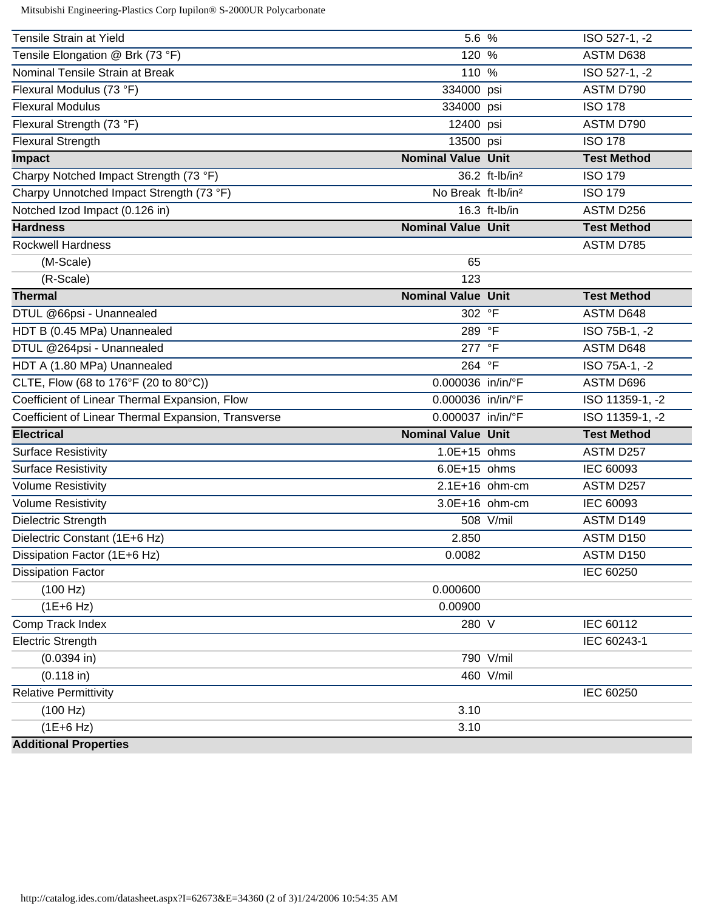Mitsubishi Engineering-Plastics Corp Iupilon® S-2000UR Polycarbonate

| Tensile Strain at Yield                             | 5.6 %                          | ISO 527-1, -2      |
|-----------------------------------------------------|--------------------------------|--------------------|
| Tensile Elongation @ Brk (73 °F)                    | 120 %                          | ASTM D638          |
| Nominal Tensile Strain at Break                     | 110 %                          | ISO 527-1, -2      |
| Flexural Modulus (73 °F)                            | 334000 psi                     | ASTM D790          |
| <b>Flexural Modulus</b>                             | 334000 psi                     | <b>ISO 178</b>     |
| Flexural Strength (73 °F)                           | 12400 psi                      | ASTM D790          |
| <b>Flexural Strength</b>                            | 13500 psi                      | <b>ISO 178</b>     |
| Impact                                              | <b>Nominal Value Unit</b>      | <b>Test Method</b> |
| Charpy Notched Impact Strength (73 °F)              | 36.2 ft-lb/in <sup>2</sup>     | <b>ISO 179</b>     |
| Charpy Unnotched Impact Strength (73 °F)            | No Break ft-lb/in <sup>2</sup> | <b>ISO 179</b>     |
| Notched Izod Impact (0.126 in)                      | 16.3 ft-lb/in                  | ASTM D256          |
| <b>Hardness</b>                                     | <b>Nominal Value Unit</b>      | <b>Test Method</b> |
| <b>Rockwell Hardness</b>                            |                                | ASTM D785          |
| (M-Scale)                                           | 65                             |                    |
| (R-Scale)                                           | 123                            |                    |
| <b>Thermal</b>                                      | <b>Nominal Value Unit</b>      | <b>Test Method</b> |
| DTUL @66psi - Unannealed                            | 302 °F                         | ASTM D648          |
| HDT B (0.45 MPa) Unannealed                         | 289 °F                         | ISO 75B-1, -2      |
| DTUL @264psi - Unannealed                           | 277 °F                         | ASTM D648          |
| HDT A (1.80 MPa) Unannealed                         | 264 °F                         | ISO 75A-1, -2      |
| CLTE, Flow (68 to 176°F (20 to 80°C))               | 0.000036 in/in/°F              | ASTM D696          |
| Coefficient of Linear Thermal Expansion, Flow       | 0.000036 in/in/°F              | ISO 11359-1, -2    |
| Coefficient of Linear Thermal Expansion, Transverse | 0.000037 in/in/°F              | ISO 11359-1, -2    |
| <b>Electrical</b>                                   | <b>Nominal Value Unit</b>      | <b>Test Method</b> |
| <b>Surface Resistivity</b>                          | $1.0E+15$ ohms                 | ASTM D257          |
| <b>Surface Resistivity</b>                          | 6.0E+15 ohms                   | IEC 60093          |
| <b>Volume Resistivity</b>                           | 2.1E+16 ohm-cm                 | ASTM D257          |
| <b>Volume Resistivity</b>                           | 3.0E+16 ohm-cm                 | IEC 60093          |
| Dielectric Strength                                 | 508 V/mil                      | ASTM D149          |
| Dielectric Constant (1E+6 Hz)                       | 2.850                          | ASTM D150          |
| Dissipation Factor (1E+6 Hz)                        | 0.0082                         | ASTM D150          |
| <b>Dissipation Factor</b>                           |                                | IEC 60250          |
| (100 Hz)                                            | 0.000600                       |                    |
| $(1E+6 Hz)$                                         | 0.00900                        |                    |
| Comp Track Index                                    | 280 V                          | IEC 60112          |
| <b>Electric Strength</b>                            |                                | IEC 60243-1        |
| $(0.0394)$ in)                                      | 790 V/mil                      |                    |
| $(0.118$ in)                                        | 460 V/mil                      |                    |
| <b>Relative Permittivity</b>                        |                                | IEC 60250          |
| (100 Hz)                                            | 3.10                           |                    |
| $(1E+6 Hz)$                                         | 3.10                           |                    |
| <b>Additional Properties</b>                        |                                |                    |